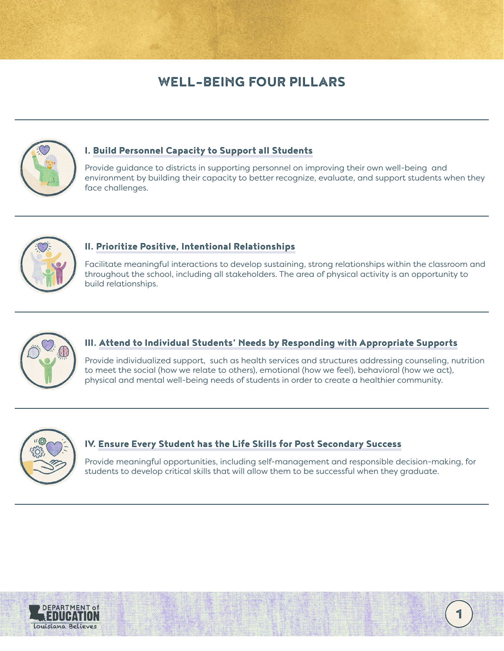# WELL-BEING FOUR PILLARS



#### I. [Build Personnel Capacity to Support all Students](#page-1-0)

Provide guidance to districts in supporting personnel on improving their own well-being and environment by building their capacity to better recognize, evaluate, and support students when they face challenges.



### II. [Prioritize Positive, Intentional Relationships](#page-2-0)

Facilitate meaningful interactions to develop sustaining, strong relationships within the classroom and throughout the school, including all stakeholders. The area of physical activity is an opportunity to build relationships.



### III. [Attend to Individual Students' Needs by Responding with Appropriate Supports](#page-3-0)

Provide individualized support, such as health services and structures addressing counseling, nutrition to meet the social (how we relate to others), emotional (how we feel), behavioral (how we act), physical and mental well-being needs of students in order to create a healthier community.



## IV. [Ensure Every Student has the Life Skills for Post Secondary Success](#page-4-0)

Provide meaningful opportunities, including self-management and responsible decision-making, for students to develop critical skills that will allow them to be successful when they graduate.



1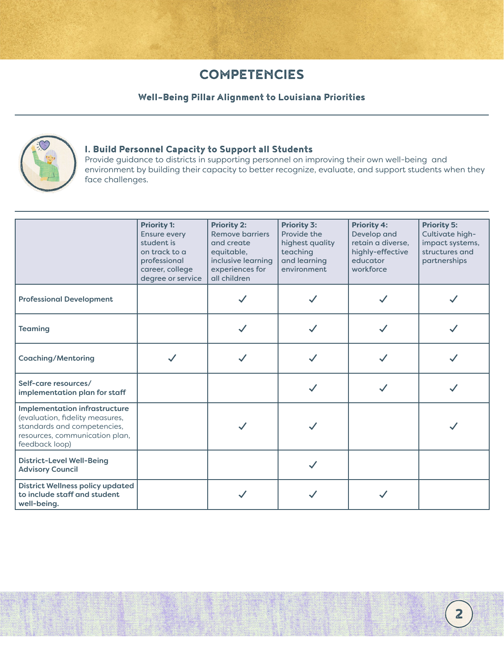## Well-Being Pillar Alignment to Louisiana Priorities



#### <span id="page-1-0"></span>I. Build Personnel Capacity to Support all Students

Provide guidance to districts in supporting personnel on improving their own well-being and environment by building their capacity to better recognize, evaluate, and support students when they face challenges.

|                                                                                                                                                            | <b>Priority 1:</b><br><b>Ensure every</b><br>student is<br>on track to a<br>professional<br>career, college<br>degree or service | <b>Priority 2:</b><br><b>Remove barriers</b><br>and create<br>equitable,<br>inclusive learning<br>experiences for<br>all children | <b>Priority 3:</b><br>Provide the<br>highest quality<br>teaching<br>and learning<br>environment | <b>Priority 4:</b><br>Develop and<br>retain a diverse,<br>highly-effective<br>educator<br>workforce | <b>Priority 5:</b><br>Cultivate high-<br>impact systems,<br>structures and<br>partnerships |
|------------------------------------------------------------------------------------------------------------------------------------------------------------|----------------------------------------------------------------------------------------------------------------------------------|-----------------------------------------------------------------------------------------------------------------------------------|-------------------------------------------------------------------------------------------------|-----------------------------------------------------------------------------------------------------|--------------------------------------------------------------------------------------------|
| <b>Professional Development</b>                                                                                                                            |                                                                                                                                  |                                                                                                                                   |                                                                                                 |                                                                                                     |                                                                                            |
| <b>Teaming</b>                                                                                                                                             |                                                                                                                                  |                                                                                                                                   |                                                                                                 |                                                                                                     |                                                                                            |
| <b>Coaching/Mentoring</b>                                                                                                                                  |                                                                                                                                  |                                                                                                                                   |                                                                                                 |                                                                                                     |                                                                                            |
| Self-care resources/<br>implementation plan for staff                                                                                                      |                                                                                                                                  |                                                                                                                                   |                                                                                                 |                                                                                                     |                                                                                            |
| <b>Implementation infrastructure</b><br>(evaluation, fidelity measures,<br>standards and competencies,<br>resources, communication plan,<br>feedback loop) |                                                                                                                                  |                                                                                                                                   |                                                                                                 |                                                                                                     |                                                                                            |
| <b>District-Level Well-Being</b><br><b>Advisory Council</b>                                                                                                |                                                                                                                                  |                                                                                                                                   |                                                                                                 |                                                                                                     |                                                                                            |
| <b>District Wellness policy updated</b><br>to include staff and student<br>well-being.                                                                     |                                                                                                                                  |                                                                                                                                   |                                                                                                 |                                                                                                     |                                                                                            |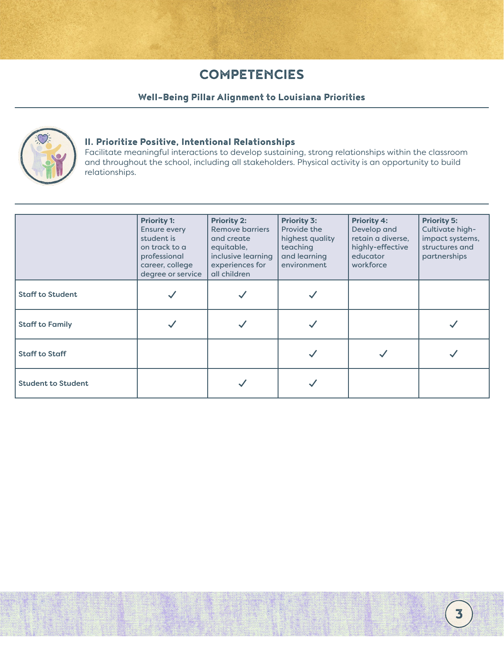## Well-Being Pillar Alignment to Louisiana Priorities



#### <span id="page-2-0"></span>II. Prioritize Positive, Intentional Relationships

Facilitate meaningful interactions to develop sustaining, strong relationships within the classroom and throughout the school, including all stakeholders. Physical activity is an opportunity to build relationships.

|                           | <b>Priority 1:</b><br>Ensure every<br>student is<br>on track to a<br>professional<br>career, college<br>degree or service | <b>Priority 2:</b><br><b>Remove barriers</b><br>and create<br>equitable,<br>inclusive learning<br>experiences for<br>all children | <b>Priority 3:</b><br>Provide the<br>highest quality<br>teaching<br>and learning<br>environment | <b>Priority 4:</b><br>Develop and<br>retain a diverse,<br>highly-effective<br>educator<br>workforce | <b>Priority 5:</b><br>Cultivate high-<br>impact systems,<br>structures and<br>partnerships |
|---------------------------|---------------------------------------------------------------------------------------------------------------------------|-----------------------------------------------------------------------------------------------------------------------------------|-------------------------------------------------------------------------------------------------|-----------------------------------------------------------------------------------------------------|--------------------------------------------------------------------------------------------|
| <b>Staff to Student</b>   |                                                                                                                           |                                                                                                                                   |                                                                                                 |                                                                                                     |                                                                                            |
| <b>Staff to Family</b>    |                                                                                                                           |                                                                                                                                   |                                                                                                 |                                                                                                     |                                                                                            |
| <b>Staff to Staff</b>     |                                                                                                                           |                                                                                                                                   |                                                                                                 |                                                                                                     |                                                                                            |
| <b>Student to Student</b> |                                                                                                                           |                                                                                                                                   |                                                                                                 |                                                                                                     |                                                                                            |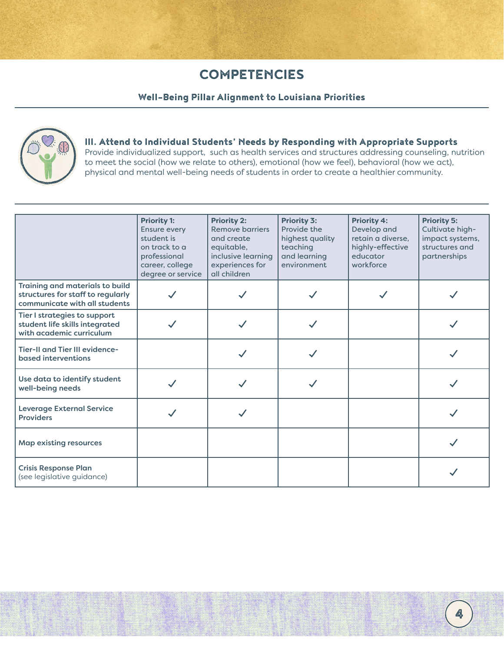### Well-Being Pillar Alignment to Louisiana Priorities



### <span id="page-3-0"></span>III. Attend to Individual Students' Needs by Responding with Appropriate Supports

Provide individualized support, such as health services and structures addressing counseling, nutrition to meet the social (how we relate to others), emotional (how we feel), behavioral (how we act), physical and mental well-being needs of students in order to create a healthier community.

|                                                                                                       | <b>Priority 1:</b><br><b>Ensure every</b><br>student is<br>on track to a<br>professional<br>career, college<br>degree or service | <b>Priority 2:</b><br><b>Remove barriers</b><br>and create<br>equitable,<br>inclusive learning<br>experiences for<br>all children | <b>Priority 3:</b><br>Provide the<br>highest quality<br>teaching<br>and learning<br>environment | <b>Priority 4:</b><br>Develop and<br>retain a diverse,<br>highly-effective<br>educator<br>workforce | <b>Priority 5:</b><br>Cultivate high-<br>impact systems,<br>structures and<br>partnerships |
|-------------------------------------------------------------------------------------------------------|----------------------------------------------------------------------------------------------------------------------------------|-----------------------------------------------------------------------------------------------------------------------------------|-------------------------------------------------------------------------------------------------|-----------------------------------------------------------------------------------------------------|--------------------------------------------------------------------------------------------|
| Training and materials to build<br>structures for staff to regularly<br>communicate with all students |                                                                                                                                  |                                                                                                                                   |                                                                                                 |                                                                                                     |                                                                                            |
| Tier I strategies to support<br>student life skills integrated<br>with academic curriculum            |                                                                                                                                  |                                                                                                                                   |                                                                                                 |                                                                                                     |                                                                                            |
| Tier-II and Tier III evidence-<br>based interventions                                                 |                                                                                                                                  |                                                                                                                                   |                                                                                                 |                                                                                                     |                                                                                            |
| Use data to identify student<br>well-being needs                                                      |                                                                                                                                  |                                                                                                                                   |                                                                                                 |                                                                                                     |                                                                                            |
| <b>Leverage External Service</b><br><b>Providers</b>                                                  |                                                                                                                                  |                                                                                                                                   |                                                                                                 |                                                                                                     |                                                                                            |
| <b>Map existing resources</b>                                                                         |                                                                                                                                  |                                                                                                                                   |                                                                                                 |                                                                                                     |                                                                                            |
| <b>Crisis Response Plan</b><br>(see legislative guidance)                                             |                                                                                                                                  |                                                                                                                                   |                                                                                                 |                                                                                                     |                                                                                            |